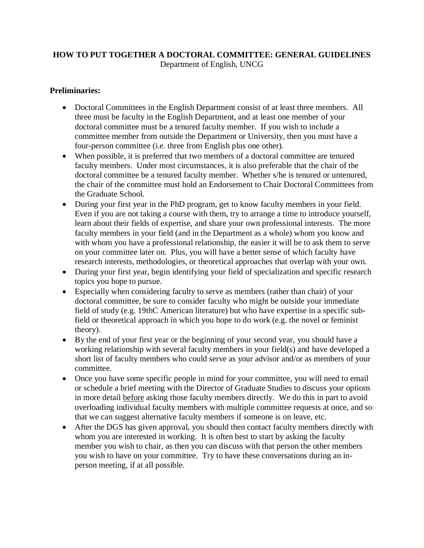## **HOW TO PUT TOGETHER A DOCTORAL COMMITTEE: GENERAL GUIDELINES** Department of English, UNCG

## **Preliminaries:**

- Doctoral Committees in the English Department consist of at least three members. All three must be faculty in the English Department, and at least one member of your doctoral committee must be a tenured faculty member. If you wish to include a committee member from outside the Department or University, then you must have a four-person committee (i.e. three from English plus one other).
- When possible, it is preferred that two members of a doctoral committee are tenured faculty members. Under most circumstances, it is also preferable that the chair of the doctoral committee be a tenured faculty member. Whether s/he is tenured or untenured, the chair of the committee must hold an Endorsement to Chair Doctoral Committees from the Graduate School.
- During your first year in the PhD program, get to know faculty members in your field. Even if you are not taking a course with them, try to arrange a time to introduce yourself, learn about their fields of expertise, and share your own professional interests. The more faculty members in your field (and in the Department as a whole) whom you know and with whom you have a professional relationship, the easier it will be to ask them to serve on your committee later on. Plus, you will have a better sense of which faculty have research interests, methodologies, or theoretical approaches that overlap with your own.
- During your first year, begin identifying your field of specialization and specific research topics you hope to pursue.
- Especially when considering faculty to serve as members (rather than chair) of your doctoral committee, be sure to consider faculty who might be outside your immediate field of study (e.g. 19thC American literature) but who have expertise in a specific subfield or theoretical approach in which you hope to do work (e.g. the novel or feminist theory).
- By the end of your first year or the beginning of your second year, you should have a working relationship with several faculty members in your field(s) and have developed a short list of faculty members who could serve as your advisor and/or as members of your committee.
- Once you have some specific people in mind for your committee, you will need to email or schedule a brief meeting with the Director of Graduate Studies to discuss your options in more detail before asking those faculty members directly. We do this in part to avoid overloading individual faculty members with multiple committee requests at once, and so that we can suggest alternative faculty members if someone is on leave, etc.
- After the DGS has given approval, you should then contact faculty members directly with whom you are interested in working. It is often best to start by asking the faculty member you wish to chair, as then you can discuss with that person the other members you wish to have on your committee. Try to have these conversations during an inperson meeting, if at all possible.